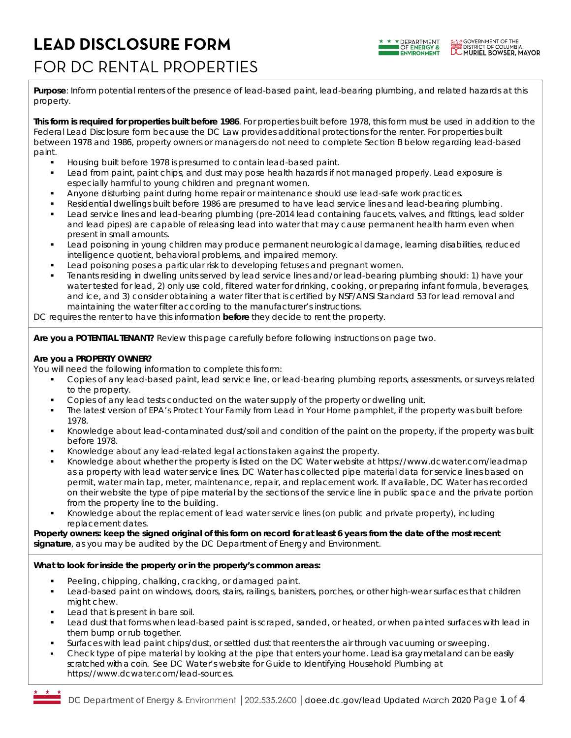# **LEAD DISCLOSURE FORM** FOR DC RENTAL PROPERTIES



**Purpose**: Inform potential renters of the presence of lead-based paint, lead-bearing plumbing, and related hazards at this property.

**This form is required for properties built before 1986**. For properties built before 1978, this form must be used in addition to the Federal Lead Disclosure form because the DC Law provides additional protections for the renter. For properties built between 1978 and 1986, property owners or managers do not need to complete Section B below regarding lead-based paint.

- Housing built before 1978 is presumed to contain lead-based paint.
- Lead from paint, paint chips, and dust may pose health hazards if not managed properly. Lead exposure is especially harmful to young children and pregnant women.
- Anyone disturbing paint during home repair or maintenance should use lead-safe work practices.
- Residential dwellings built before 1986 are presumed to have lead service lines and lead-bearing plumbing.
- Lead service lines and lead-bearing plumbing (pre-2014 lead containing faucets, valves, and fittings, lead solder and lead pipes) are capable of releasing lead into water that may cause permanent health harm even when present in small amounts.
- Lead poisoning in young children may produce permanent neurological damage, learning disabilities, reduced intelligence quotient, behavioral problems, and impaired memory.
- Lead poisoning poses a particular risk to developing fetuses and pregnant women.
- Tenants residing in dwelling units served by lead service lines and/or lead-bearing plumbing should: 1) have your water tested for lead, 2) only use cold, filtered water for drinking, cooking, or preparing infant formula, beverages, and ice, and 3) consider obtaining a water filter that is certified by NSF/ANSI Standard 53 for lead removal and maintaining the water filter according to the manufacturer's instructions.

DC requires the renter to have this information **before** they decide to rent the property.

**Are you a POTENTIAL TENANT?** *Review this page carefully before following instructions on page two.*

### **Are you a PROPERTY OWNER?**

*You will need the following information to complete this form:*

- Copies of any lead-based paint, lead service line, or lead-bearing plumbing reports, assessments, or surveys related to the property.
- Copies of any lead tests conducted on the water supply of the property or dwelling unit.
- The latest version of EPA's *Protect Your Family from Lead in Your Home* pamphlet, if the property was built before 1978.
- Knowledge about lead-contaminated dust/soil and condition of the paint on the property, if the property was built before 1978.
- Knowledge about any lead-related legal actions taken against the property.
- Knowledge about whether the property is listed on the DC Water website at https://www.dcwater.com/leadmap as a property with lead water service lines. DC Water has collected pipe material data for service lines based on permit, water main tap, meter, maintenance, repair, and replacement work. If available, DC Water has recorded on their website the type of pipe material by the sections of the service line in public space and the private portion from the property line to the building.
- Knowledge about the replacement of lead water service lines (on public and private property), including replacement dates.

**Property owners: keep the signed original of this form on record for at least 6 years from the date of the most recent signature**, as you may be audited by the DC Department of Energy and Environment.

#### **What to look for inside the property or in the property's common areas:**

- Peeling, chipping, chalking, cracking, or damaged paint.
- Lead-based paint on windows, doors, stairs, railings, banisters, porches, or other high-wear surfaces that children might chew.
- Lead that is present in bare soil.
- Lead dust that forms when lead-based paint is scraped, sanded, or heated, or when painted surfaces with lead in them bump or rub together.
- Surfaces with lead paint chips/dust, or settled dust that reenters the air through vacuuming or sweeping.
- Check type of pipe material by looking at the pipe that enters your home. Lead is a gray metal and can be easily scratched with a coin. See DC Water's website for Guide to Identifying Household Plumbing at https://www.dcwater.com/lead-sources.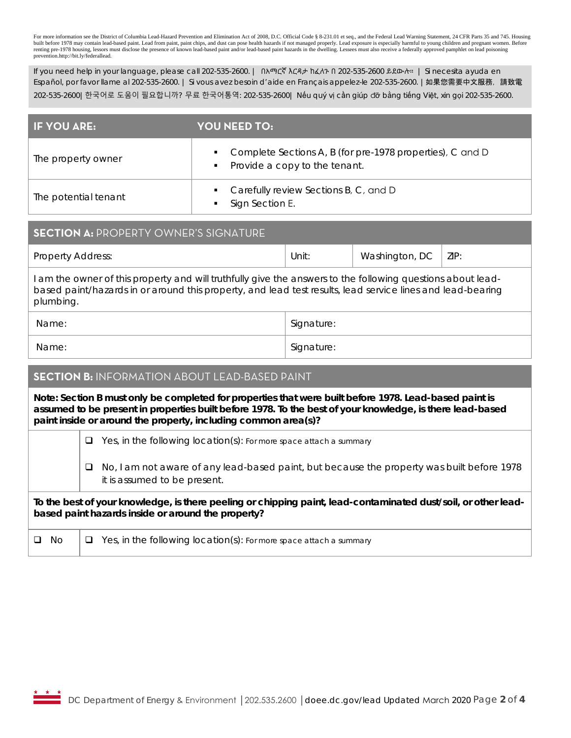For more information see the District of Columbia Lead-Hazard Prevention and Elimination Act of 2008, D.C. Official Code § 8-231.01 et seq., and the Federal Lead Warning Statement, 24 CFR Parts 35 and 745. Housing built before 1978 may contain lead-based paint. Lead from paint, paint chips, and dust can pose health hazards if not managed properly. Lead exposure is especially harmful to young children and pregnant women. Before renting pre-1978 housing, lessors must disclose the presence of known lead-based paint and/or lead-based paint hazards in the dwelling. Lessees must also receive a federally approved pamphlet on lead poisoning prevention.http://bit.ly/federallead.

If you need help in your language, please call 202-535-2600. | በአማርኛ እርዳታ ከፈለጉ በ 202-535-2600 ይደውሉ። | Si necesita ayuda en Español, por favor llame al 202-535-2600. | Si vous avez besoin d'aide en Français appelez-le 202-535-2600. | 如果您需要中文服務,請致電 202-535-2600|한국어로 도움이 필요합니까? 무료 한국어통역: 202-535-2600| Nếu quý vị cần giúp đỡ bằng tiếng Việt, xin gọi 202-535-2600.

| <b>IF YOU ARE:</b>   | YOU NEED TO:                                                                                                 |
|----------------------|--------------------------------------------------------------------------------------------------------------|
| The property owner   | • Complete Sections A, B (for pre-1978 properties), C and D<br>Provide a copy to the tenant.<br>$\mathbf{m}$ |
| The potential tenant | • Carefully review Sections B, C, and D<br>Sign Section E.                                                   |

# **SECTION A:** PROPERTY OWNER'S SIGNATURE Property Address:  $\vert$  Unit:  $\vert$  Washington, DC | ZIP: I am the owner of this property and will truthfully give the answers to the following questions about leadbased paint/hazards in or around this property, and lead test results, lead service lines and lead-bearing plumbing. Name: Signature: Signature: Signature: Signature: Signature: Signature: Signature: Signature: Signature: Signature: Signature: Signature: Signature: Signature: Signature: Signature: Signature: Signature: Signature: Signatu

Name: Signature: Signature: Signature: Signature: Signature: Signature: Signature: Signature: Signature: Signature: Signature: Signature: Signature: Signature: Signature: Signature: Signature: Signature: Signature: Signatu

## **SECTION B:** INFORMATION ABOUT LEAD-BASED PAINT

**Note: Section B must only be completed for properties that were built before 1978. Lead-based paint is assumed to be present in properties built before 1978. To the best of your knowledge, is there lead-based paint inside or around the property, including common area(s)?**

Yes, in the following location(s): *For more space attach a summary*

 No, I am not aware of any lead-based paint, but because the property was built before 1978 it is assumed to be present.

### **To the best of your knowledge, is there peeling or chipping paint, lead-contaminated dust/soil, or other leadbased paint hazards inside or around the property?**

No Yes, in the following location(s): *For more space attach a summary*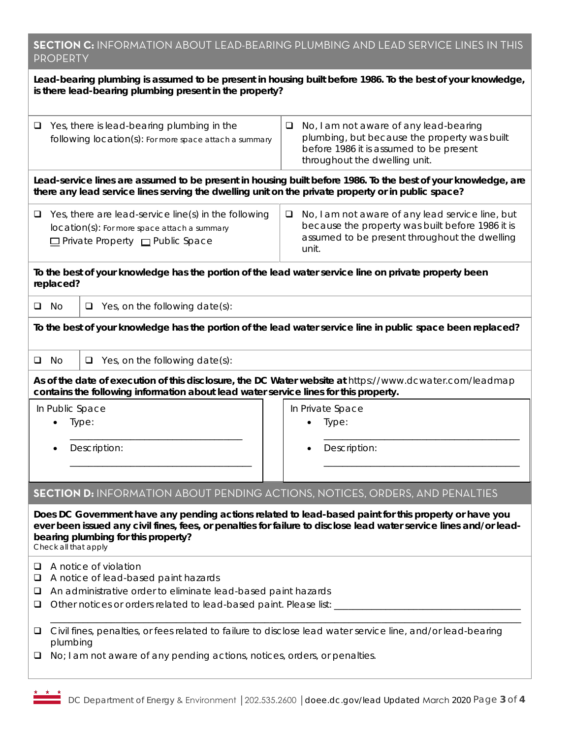| <b>SECTION C:</b> INFORMATION ABOUT LEAD-BEARING PLUMBING AND LEAD SERVICE LINES IN THIS |  |
|------------------------------------------------------------------------------------------|--|
| <b>PROPERTY</b>                                                                          |  |

| Lead-bearing plumbing is assumed to be present in housing built before 1986. To the best of your knowledge,<br>is there lead-bearing plumbing present in the property?                                                                                                                     |                                                                                                                                |        |                                                                                                                                                                    |  |  |  |
|--------------------------------------------------------------------------------------------------------------------------------------------------------------------------------------------------------------------------------------------------------------------------------------------|--------------------------------------------------------------------------------------------------------------------------------|--------|--------------------------------------------------------------------------------------------------------------------------------------------------------------------|--|--|--|
| Yes, there is lead-bearing plumbing in the<br>□<br>following location(s): For more space attach a summary                                                                                                                                                                                  |                                                                                                                                | $\Box$ | No, I am not aware of any lead-bearing<br>plumbing, but because the property was built<br>before 1986 it is assumed to be present<br>throughout the dwelling unit. |  |  |  |
| Lead-service lines are assumed to be present in housing built before 1986. To the best of your knowledge, are<br>there any lead service lines serving the dwelling unit on the private property or in public space?                                                                        |                                                                                                                                |        |                                                                                                                                                                    |  |  |  |
| Yes, there are lead-service line(s) in the following<br>❏<br>location(s): For more space attach a summary<br>□ Private Property □ Public Space                                                                                                                                             |                                                                                                                                | $\Box$ | No, I am not aware of any lead service line, but<br>because the property was built before 1986 it is<br>assumed to be present throughout the dwelling<br>unit.     |  |  |  |
| To the best of your knowledge has the portion of the lead water service line on private property been<br>replaced?                                                                                                                                                                         |                                                                                                                                |        |                                                                                                                                                                    |  |  |  |
| No<br>o.                                                                                                                                                                                                                                                                                   | $\Box$ Yes, on the following date(s):                                                                                          |        |                                                                                                                                                                    |  |  |  |
|                                                                                                                                                                                                                                                                                            |                                                                                                                                |        | To the best of your knowledge has the portion of the lead water service line in public space been replaced?                                                        |  |  |  |
| Q<br>No.                                                                                                                                                                                                                                                                                   | $\Box$ Yes, on the following date(s):                                                                                          |        |                                                                                                                                                                    |  |  |  |
|                                                                                                                                                                                                                                                                                            | contains the following information about lead water service lines for this property.                                           |        | As of the date of execution of this disclosure, the DC Water website at https://www.dcwater.com/leadmap                                                            |  |  |  |
| In Public Space                                                                                                                                                                                                                                                                            | Type:<br>Description:                                                                                                          |        | In Private Space<br>Type:<br>Description:                                                                                                                          |  |  |  |
|                                                                                                                                                                                                                                                                                            |                                                                                                                                |        |                                                                                                                                                                    |  |  |  |
|                                                                                                                                                                                                                                                                                            | <b>SECTION D:</b> INFORMATION ABOUT PENDING ACTIONS, NOTICES, ORDERS, AND PENALTIES                                            |        |                                                                                                                                                                    |  |  |  |
| Does DC Government have any pending actions related to lead-based paint for this property or have you<br>ever been issued any civil fines, fees, or penalties for failure to disclose lead water service lines and/or lead-<br>bearing plumbing for this property?<br>Check all that apply |                                                                                                                                |        |                                                                                                                                                                    |  |  |  |
| u<br>❏<br>❏<br>❏                                                                                                                                                                                                                                                                           | A notice of violation<br>A notice of lead-based paint hazards<br>An administrative order to eliminate lead-based paint hazards |        |                                                                                                                                                                    |  |  |  |
| Civil fines, penalties, or fees related to failure to disclose lead water service line, and/or lead-bearing<br>⊔<br>plumbing<br>No; I am not aware of any pending actions, notices, orders, or penalties.<br>❏                                                                             |                                                                                                                                |        |                                                                                                                                                                    |  |  |  |